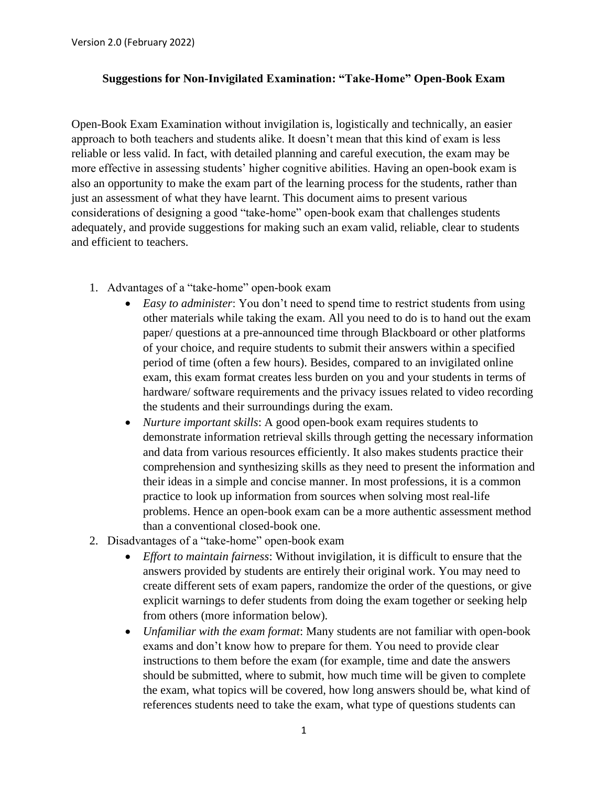## **Suggestions for Non-Invigilated Examination: "Take-Home" Open-Book Exam**

Open-Book Exam Examination without invigilation is, logistically and technically, an easier approach to both teachers and students alike. It doesn't mean that this kind of exam is less reliable or less valid. In fact, with detailed planning and careful execution, the exam may be more effective in assessing students' higher cognitive abilities. Having an open-book exam is also an opportunity to make the exam part of the learning process for the students, rather than just an assessment of what they have learnt. This document aims to present various considerations of designing a good "take-home" open-book exam that challenges students adequately, and provide suggestions for making such an exam valid, reliable, clear to students and efficient to teachers.

- 1. Advantages of a "take-home" open-book exam
	- *Easy to administer*: You don't need to spend time to restrict students from using other materials while taking the exam. All you need to do is to hand out the exam paper/ questions at a pre-announced time through Blackboard or other platforms of your choice, and require students to submit their answers within a specified period of time (often a few hours). Besides, compared to an invigilated online exam, this exam format creates less burden on you and your students in terms of hardware/ software requirements and the privacy issues related to video recording the students and their surroundings during the exam.
	- *Nurture important skills*: A good open-book exam requires students to demonstrate information retrieval skills through getting the necessary information and data from various resources efficiently. It also makes students practice their comprehension and synthesizing skills as they need to present the information and their ideas in a simple and concise manner. In most professions, it is a common practice to look up information from sources when solving most real-life problems. Hence an open-book exam can be a more authentic assessment method than a conventional closed-book one.
- 2. Disadvantages of a "take-home" open-book exam
	- *Effort to maintain fairness*: Without invigilation, it is difficult to ensure that the answers provided by students are entirely their original work. You may need to create different sets of exam papers, randomize the order of the questions, or give explicit warnings to defer students from doing the exam together or seeking help from others (more information below).
	- *Unfamiliar with the exam format*: Many students are not familiar with open-book exams and don't know how to prepare for them. You need to provide clear instructions to them before the exam (for example, time and date the answers should be submitted, where to submit, how much time will be given to complete the exam, what topics will be covered, how long answers should be, what kind of references students need to take the exam, what type of questions students can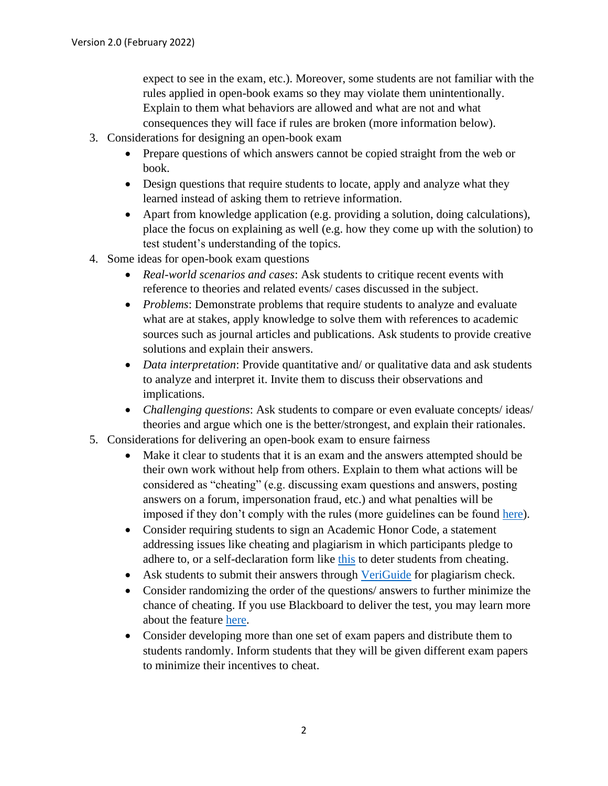expect to see in the exam, etc.). Moreover, some students are not familiar with the rules applied in open-book exams so they may violate them unintentionally. Explain to them what behaviors are allowed and what are not and what consequences they will face if rules are broken (more information below).

- 3. Considerations for designing an open-book exam
	- Prepare questions of which answers cannot be copied straight from the web or book.
	- Design questions that require students to locate, apply and analyze what they learned instead of asking them to retrieve information.
	- Apart from knowledge application (e.g. providing a solution, doing calculations), place the focus on explaining as well (e.g. how they come up with the solution) to test student's understanding of the topics.
- 4. Some ideas for open-book exam questions
	- *Real-world scenarios and cases*: Ask students to critique recent events with reference to theories and related events/ cases discussed in the subject.
	- *Problems*: Demonstrate problems that require students to analyze and evaluate what are at stakes, apply knowledge to solve them with references to academic sources such as journal articles and publications. Ask students to provide creative solutions and explain their answers.
	- *Data interpretation*: Provide quantitative and/ or qualitative data and ask students to analyze and interpret it. Invite them to discuss their observations and implications.
	- *Challenging questions*: Ask students to compare or even evaluate concepts/ ideas/ theories and argue which one is the better/strongest, and explain their rationales.
- 5. Considerations for delivering an open-book exam to ensure fairness
	- Make it clear to students that it is an exam and the answers attempted should be their own work without help from others. Explain to them what actions will be considered as "cheating" (e.g. discussing exam questions and answers, posting answers on a forum, impersonation fraud, etc.) and what penalties will be imposed if they don't comply with the rules (more guidelines can be found [here\)](https://www.cuhk.edu.hk/policy/academichonesty/Eng_htm_files_(2013-14)/p06.htm).
	- Consider requiring students to sign an Academic Honor Code, a statement addressing issues like cheating and plagiarism in which participants pledge to adhere to, or a self-declaration form like [this](https://www.cuhk.edu.hk/policy/academichonesty/Eng_htm_files_(2013-14)/p10.htm) to deter students from cheating.
	- Ask students to submit their answers through [VeriGuide](https://academic2.veriguide.org/portalcuhk/) for plagiarism check.
	- Consider randomizing the order of the questions/ answers to further minimize the chance of cheating. If you use Blackboard to deliver the test, you may learn more about the feature [here.](https://help.blackboard.com/Learn/Instructor/Tests_Pools_Surveys/Test_and_Survey_Options#ultra_randomize_questions)
	- Consider developing more than one set of exam papers and distribute them to students randomly. Inform students that they will be given different exam papers to minimize their incentives to cheat.